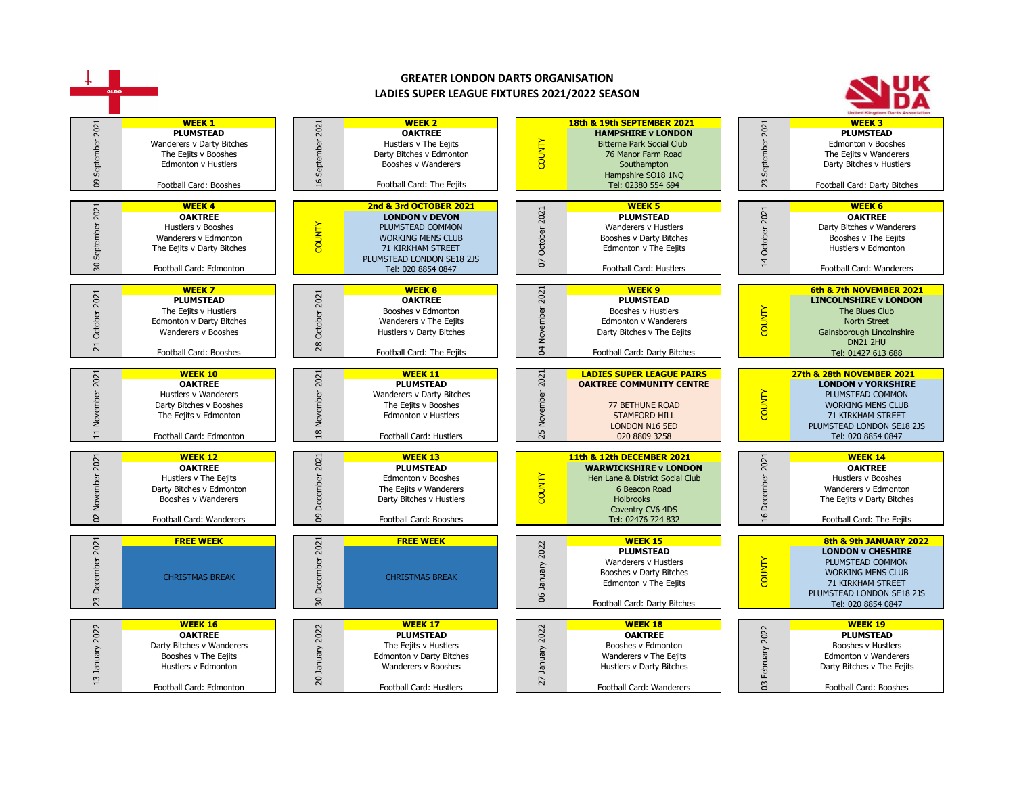

|                                                                 | I OULDAII CAIU. LUIIIUIILUII                                                                                                             |                                  | i vuudii Caru. Husucis                                                                                                                   | $\sqrt{2}$            | <u>OLDO OOD JAJO</u>                                                                                                                                                        |                                | <b>ICI. UZU UOJT UOT</b>                                                                                                                                                          |  |
|-----------------------------------------------------------------|------------------------------------------------------------------------------------------------------------------------------------------|----------------------------------|------------------------------------------------------------------------------------------------------------------------------------------|-----------------------|-----------------------------------------------------------------------------------------------------------------------------------------------------------------------------|--------------------------------|-----------------------------------------------------------------------------------------------------------------------------------------------------------------------------------|--|
| $\overline{\phantom{0}}$<br>SO<br>$\sim$<br>Novemb<br>$\approx$ | <b>WEEK 12</b><br><b>OAKTREE</b><br>Hustlers v The Eejits<br>Darty Bitches v Edmonton<br>Booshes v Wanderers<br>Football Card: Wanderers | 2021<br>80                       | <b>WEEK 13</b><br><b>PLUMSTEAD</b><br>Edmonton y Booshes<br>The Eejits v Wanderers<br>Darty Bitches v Hustlers<br>Football Card: Booshes | <b>COUNTY</b>         | 11th & 12th DECEMBER 2021<br><b>WARWICKSHIRE v LONDON</b><br>Hen Lane & District Social Club<br>6 Beacon Road<br><b>Holbrooks</b><br>Coventry CV6 4DS<br>Tel: 02476 724 832 | 2021<br>cembe<br>$\frac{9}{1}$ | <b>WEEK 14</b><br><b>OAKTREE</b><br>Hustlers v Booshes<br>Wanderers y Edmonton<br>The Eejits v Darty Bitches<br>Football Card: The Eejits                                         |  |
| 2021<br>ቛ<br>23                                                 | <b>FREE WEEK</b><br><b>CHRISTMAS BREAK</b>                                                                                               | 2021<br>30                       | <b>FREE WEEK</b><br><b>CHRISTMAS BREAK</b>                                                                                               | 2022<br>January<br>8  | <b>WEEK 15</b><br><b>PLUMSTEAD</b><br>Wanderers v Hustlers<br>Booshes v Darty Bitches<br>Edmonton v The Eejits<br>Football Card: Darty Bitches                              | <b>OUNTY</b>                   | 8th & 9th JANUARY 2022<br><b>LONDON v CHESHIRE</b><br>PLUMSTEAD COMMON<br><b>WORKING MENS CLUB</b><br><b>71 KIRKHAM STREET</b><br>PLUMSTEAD LONDON SE18 2JS<br>Tel: 020 8854 0847 |  |
| 2022<br>∍<br>$\mathbf{r}$                                       | <b>WEEK 16</b><br><b>OAKTREE</b><br>Darty Bitches v Wanderers<br>Booshes v The Eejits<br>Hustlers v Edmonton<br>Football Card: Edmonton  | 2022<br>ਰ<br>Ē<br>$\overline{c}$ | <b>WEEK 17</b><br>PLUMSTEAD<br>The Eejits v Hustlers<br>Edmonton v Darty Bitches<br>Wanderers v Booshes<br>Football Card: Hustlers       | 2022<br>January<br>27 | <b>WEEK 18</b><br><b>OAKTREE</b><br>Booshes v Edmonton<br>Wanderers v The Eejits<br>Hustlers v Darty Bitches<br>Football Card: Wanderers                                    | 2022<br>February<br>ප          | <b>WEEK 19</b><br><b>PLUMSTEAD</b><br>Booshes v Hustlers<br>Edmonton v Wanderers<br>Darty Bitches v The Eejits<br>Football Card: Booshes                                          |  |